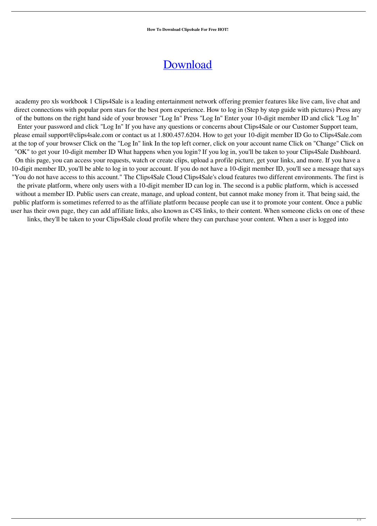**How To Download Clips4sale For Free HOT!**

## [Download](http://evacdir.com/cathys/deterrents/insure?pankey.ZG93bmxvYWR8Q2g1WTJadWJIeDhNVFkxTlRnME1qazRNWHg4TWpVM05IeDhLRTBwSUhKbFlXUXRZbXh2WnlCYlJtRnpkQ0JIUlU1ZA=aG93IHRvIGRvd25sb2FkIGNsaXBzNHNhbGUgZm9yIGZyZWUaG9&protesting.junkies=longsun)

academy pro xls workbook 1 Clips4Sale is a leading entertainment network offering premier features like live cam, live chat and direct connections with popular porn stars for the best porn experience. How to log in (Step by step guide with pictures) Press any of the buttons on the right hand side of your browser "Log In" Press "Log In" Enter your 10-digit member ID and click "Log In" Enter your password and click "Log In" If you have any questions or concerns about Clips4Sale or our Customer Support team, please email support@clips4sale.com or contact us at 1.800.457.6204. How to get your 10-digit member ID Go to Clips4Sale.com at the top of your browser Click on the "Log In" link In the top left corner, click on your account name Click on "Change" Click on "OK" to get your 10-digit member ID What happens when you login? If you log in, you'll be taken to your Clips4Sale Dashboard. On this page, you can access your requests, watch or create clips, upload a profile picture, get your links, and more. If you have a 10-digit member ID, you'll be able to log in to your account. If you do not have a 10-digit member ID, you'll see a message that says "You do not have access to this account." The Clips4Sale Cloud Clips4Sale's cloud features two different environments. The first is the private platform, where only users with a 10-digit member ID can log in. The second is a public platform, which is accessed without a member ID. Public users can create, manage, and upload content, but cannot make money from it. That being said, the public platform is sometimes referred to as the affiliate platform because people can use it to promote your content. Once a public user has their own page, they can add affiliate links, also known as C4S links, to their content. When someone clicks on one of these links, they'll be taken to your Clips4Sale cloud profile where they can purchase your content. When a user is logged into